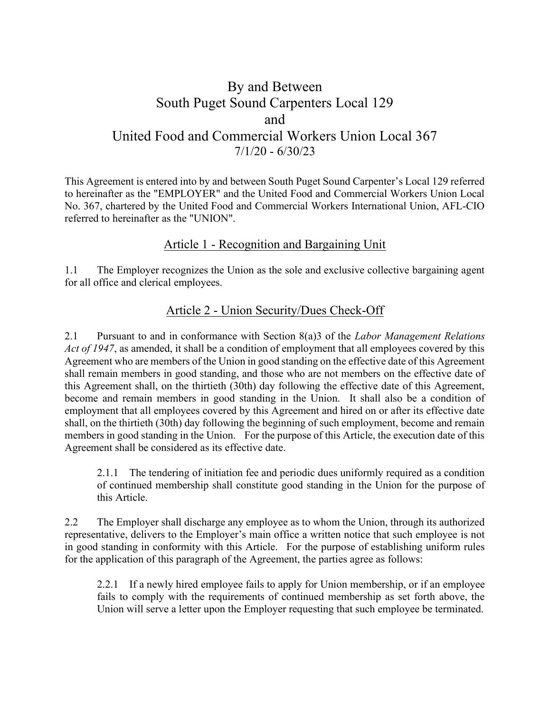# By and Between South Puget Sound Carpenters Local 129 and United Food and Commercial Workers Union Local 367  $7/1/20 - 6/30/23$

This Agreement is entered into by and between South Puget Sound Carpenter's Local 129 referred to hereinafter as the "EMPLOYER" and the United Food and Commercial Workers Union Local No. 367, chartered by the United Food and Commercial Workers International Union, AFL-CIO referred to hereinafter as the "UNION".

# Article 1 - Recognition and Bargaining Unit

 $1.1$ The Employer recognizes the Union as the sole and exclusive collective bargaining agent for all office and clerical employees.

## Article 2 - Union Security/Dues Check-Off

2.1 Pursuant to and in conformance with Section 8(a) 3of the Labor Management Relations Act of 1947, as amended, it shall be a condition of employment that all employees covered by this Agreement who are members of the Union in good standing on the effective date of this Agreement shall remain members in good standing, and those who are not members on the effective date of this Agreement shall, on the thirtieth (30th) day following the effective date of this Agreement, become and remain members in good standing in the Union. It shall also be a condition of employment that all employees covered by this Agreement and hired on or after its effective date shall, on the thirtieth (30th) day following the beginning of such employment, become and remain members in good standing in the Union. For the purpose of this Article, the execution date of this Agreement shall be considered as its effective date.

2.1.1 The tendering of initiation fee and periodic dues uniformly required as a condition of continued membership shall constitute good standing in the Union for the purpose of this Article.

 $2.2$ The Employer shall discharge any employee as to whom the Union, through its authorized representative, delivers to the Employer's main office a written notice that such employee is not in good standing in conformity with this Article. For the purpose of establishing uniform rules for the application of this paragraph of the Agreement, the parties agree as follows:

2.2.1 If a newly hired employee fails to apply for Union membership, or if an employee fails to comply with the requirements of continued membership as set forth above, the Union will serve a letter upon the Employer requesting that such employee be terminated.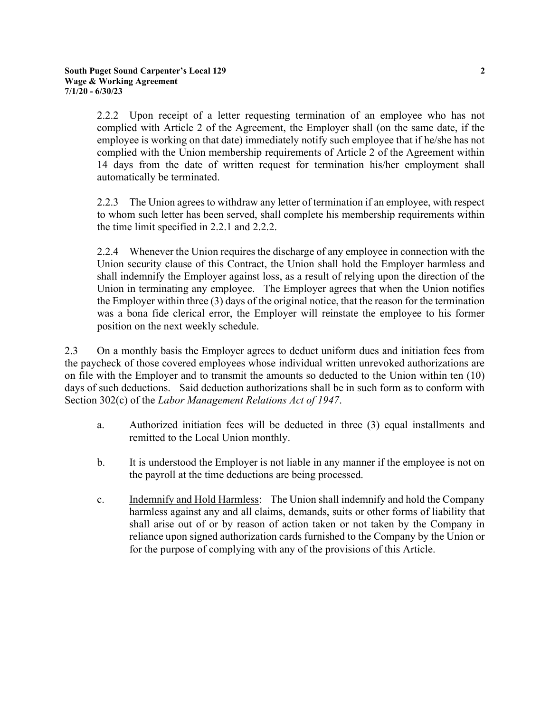2.2.2 Upon receipt of a letter requesting termination of an employee who has not complied with Article 2 of the Agreement, the Employer shall (on the same date, if the employee is working on that date) immediately notify such employee that if he/she has not complied with the Union membership requirements of Article 2 of the Agreement within 14 days from the date of written request for termination his/her employment shall automatically be terminated.

 $2.2.3$ The Union agrees to withdraw any letter of termination if an employee, with respect to whom such letter has been served, shall complete his membership requirements within the time limit specified in 2.2.1 and 2.2.2.

2.2.4 Whenever the Union requires the discharge of any employee in connection with the Union security clause of this Contract, the Union shall hold the Employer harmless and shall indemnify the Employer against loss, as a result of relying upon the direction of the Union in terminating any employee. The Employer agrees that when the Union notifies the Employer within three  $(3)$  days of the original notice, that the reason for the termination was a bona fide clerical error, the Employer will reinstate the employee to his former position on the next weekly schedule.

 $2.3$ On a monthly basis the Employer agrees to deduct uniform dues and initiation fees from the paycheck of those covered employees whose individual written unrevoked authorizations are on file with the Employer and to transmit the amounts so deducted to the Union within ten (10) days of such deductions. Said deduction authorizations shall be in such form as to conform with Section 302(c) of the Labor Management Relations Act of 1947.

- Authorized initiation fees will be deducted in three (3) equal installments and a. remitted to the Local Union monthly.
- $\mathbf{b}$ . It is understood the Employer is not liable in any manner if the employee is not on the payroll at the time deductions are being processed.
- Indemnify and Hold Harmless: The Union shall indemnify and hold the Company  $\mathbf{c}$ . harmless against any and all claims, demands, suits or other forms of liability that shall arise out of or by reason of action taken or not taken by the Company in reliance upon signed authorization cards furnished to the Company by the Union or for the purpose of complying with any of the provisions of this Article.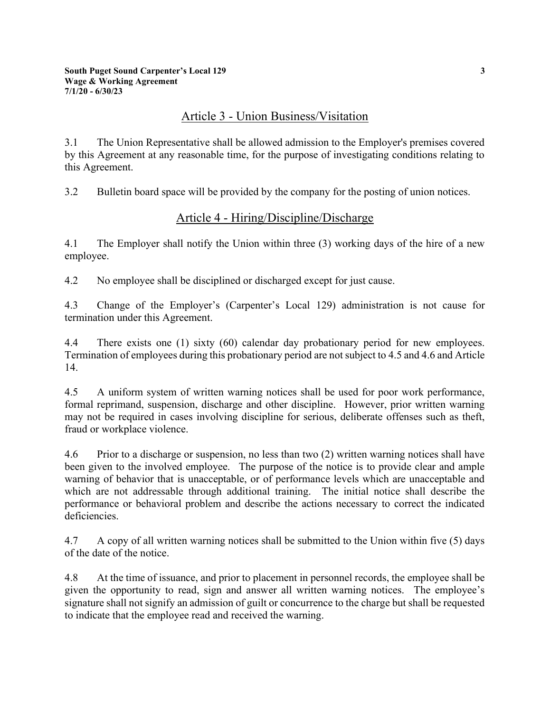## Article 3 - Union Business/Visitation

 $3.1$ The Union Representative shall be allowed admission to the Employer's premises covered by this Agreement at any reasonable time, for the purpose of investigating conditions relating to this Agreement.

 $3.2$ Bulletin board space will be provided by the company for the posting of union notices.

# Article 4 - Hiring/Discipline/Discharge

 $4.1$ The Employer shall notify the Union within three  $(3)$  working days of the hire of a new employee.

 $4.2$ No employee shall be disciplined or discharged except for just cause.

4.3 Change of the Employer's (Carpenter's Local 129) administration is not cause for termination under this Agreement.

 $4.4$ There exists one  $(1)$  sixty  $(60)$  calendar day probationary period for new employees. Termination of employees during this probationary period are not subject to 4.5 and 4.6 and Article 14.

 $4.5$ A uniform system of written warning notices shall be used for poor work performance, formal reprimand, suspension, discharge and other discipline. However, prior written warning may not be required in cases involving discipline for serious, deliberate offenses such as theft. fraud or workplace violence.

4.6 Prior to a discharge or suspension, no less than two (2) written warning notices shall have been given to the involved employee. The purpose of the notice is to provide clear and ample warning of behavior that is unacceptable, or of performance levels which are unacceptable and which are not addressable through additional training. The initial notice shall describe the performance or behavioral problem and describe the actions necessary to correct the indicated deficiencies.

4.7 A copy of all written warning notices shall be submitted to the Union within five (5) days of the date of the notice.

4.8 At the time of issuance, and prior to placement in personnel records, the employee shall be given the opportunity to read, sign and answer all written warning notices. The employee's signature shall not signify an admission of guilt or concurrence to the charge but shall be requested to indicate that the employee read and received the warning.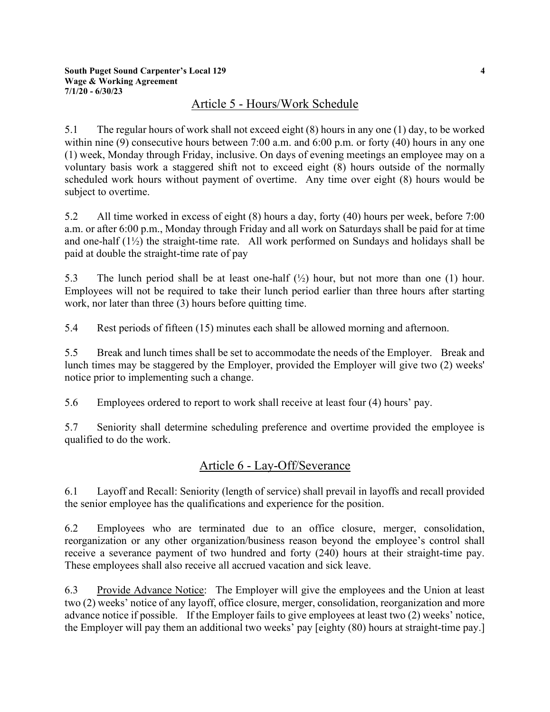## Article 5 - Hours/Work Schedule

 $5.1$ The regular hours of work shall not exceed eight  $(8)$  hours in any one  $(1)$  day, to be worked within nine (9) consecutive hours between 7:00 a.m. and 6:00 p.m. or forty (40) hours in any one (1) week, Monday through Friday, inclusive. On days of evening meetings an employee may on a voluntary basis work a staggered shift not to exceed eight (8) hours outside of the normally scheduled work hours without payment of overtime. Any time over eight (8) hours would be subject to overtime.

 $5.2$ All time worked in excess of eight (8) hours a day, forty (40) hours per week, before 7:00 a.m. or after 6:00 p.m., Monday through Friday and all work on Saturdays shall be paid for at time and one-half  $(1\frac{1}{2})$  the straight-time rate. All work performed on Sundays and holidays shall be paid at double the straight-time rate of pay

 $5.3$ The lunch period shall be at least one-half  $(\frac{1}{2})$  hour, but not more than one (1) hour. Employees will not be required to take their lunch period earlier than three hours after starting work, nor later than three (3) hours before quitting time.

5.4 Rest periods of fifteen (15) minutes each shall be allowed morning and afternoon.

 $5.5$ Break and lunch times shall be set to accommodate the needs of the Employer. Break and lunch times may be staggered by the Employer, provided the Employer will give two (2) weeks' notice prior to implementing such a change.

5.6 Employees ordered to report to work shall receive at least four (4) hours' pay.

5.7 Seniority shall determine scheduling preference and overtime provided the employee is qualified to do the work.

## Article 6 - Lay-Off/Severance

6.1 Layoff and Recall: Seniority (length of service) shall prevail in layoffs and recall provided the senior employee has the qualifications and experience for the position.

6.2 Employees who are terminated due to an office closure, merger, consolidation, reorganization or any other organization/business reason beyond the employee's control shall receive a severance payment of two hundred and forty (240) hours at their straight-time pay. These employees shall also receive all accrued vacation and sick leave.

6.3 Provide Advance Notice: The Employer will give the employees and the Union at least two (2) weeks' notice of any layoff, office closure, merger, consolidation, reorganization and more advance notice if possible. If the Employer fails to give employees at least two (2) weeks' notice, the Employer will pay them an additional two weeks' pay [eighty (80) hours at straight-time pay.]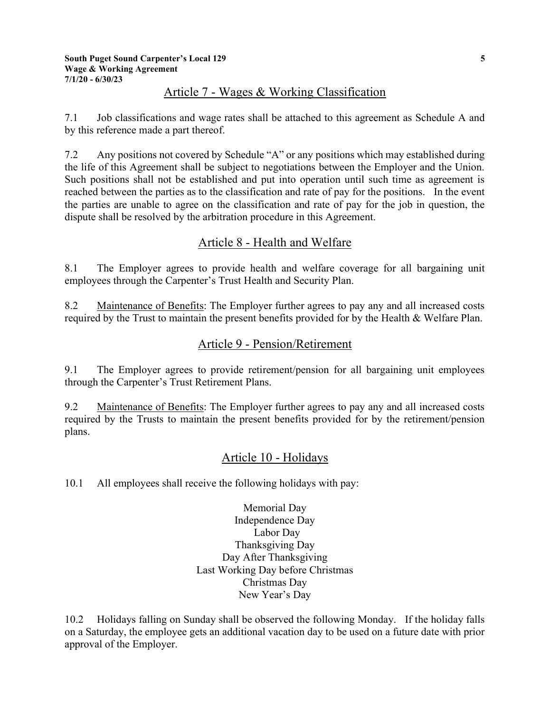## Article 7 - Wages & Working Classification

 $7.1$ Job classifications and wage rates shall be attached to this agreement as Schedule A and by this reference made a part thereof.

 $7.2$ Any positions not covered by Schedule "A" or any positions which may established during the life of this Agreement shall be subject to negotiations between the Employer and the Union. Such positions shall not be established and put into operation until such time as agreement is reached between the parties as to the classification and rate of pay for the positions. In the event the parties are unable to agree on the classification and rate of pay for the job in question, the dispute shall be resolved by the arbitration procedure in this Agreement.

## Article 8 - Health and Welfare

 $8.1$ The Employer agrees to provide health and welfare coverage for all bargaining unit employees through the Carpenter's Trust Health and Security Plan.

8.2 Maintenance of Benefits: The Employer further agrees to pay any and all increased costs required by the Trust to maintain the present benefits provided for by the Health & Welfare Plan.

## Article 9 - Pension/Retirement

 $9.1$ The Employer agrees to provide retirement/pension for all bargaining unit employees through the Carpenter's Trust Retirement Plans.

9.2 Maintenance of Benefits: The Employer further agrees to pay any and all increased costs required by the Trusts to maintain the present benefits provided for by the retirement/pension plans.

# Article 10 - Holidays

 $10.1$ All employees shall receive the following holidays with pay:

> Memorial Day Independence Day Labor Day Thanksgiving Day Day After Thanksgiving Last Working Day before Christmas Christmas Day New Year's Day

Holidays falling on Sunday shall be observed the following Monday. If the holiday falls 10.2 on a Saturday, the employee gets an additional vacation day to be used on a future date with prior approval of the Employer.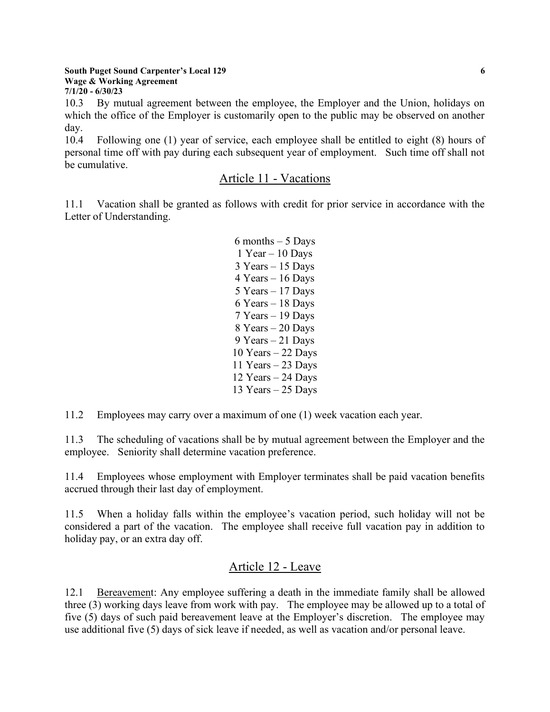#### **South Puget Sound Carpenter's Local 129 Wage & Working Agreement**  $7/1/20 - 6/30/23$

By mutual agreement between the employee, the Employer and the Union, holidays on  $10.3$ which the office of the Employer is customarily open to the public may be observed on another day.

 $10.4$ Following one (1) year of service, each employee shall be entitled to eight (8) hours of personal time off with pay during each subsequent year of employment. Such time off shall not be cumulative.

## Article 11 - Vacations

 $11.1$ Vacation shall be granted as follows with credit for prior service in accordance with the Letter of Understanding.

> $6$  months  $-5$  Days  $1$  Year  $-10$  Days  $3$  Years  $-15$  Days  $4$  Years  $-16$  Days  $5$  Years  $-17$  Days  $6$  Years  $-18$  Days 7 Years - 19 Days 8 Years - 20 Days 9 Years - 21 Days 10 Years  $-22$  Days 11 Years  $-$  23 Days 12 Years  $-$  24 Days 13 Years  $-25$  Days

11.2 Employees may carry over a maximum of one (1) week vacation each year.

 $11.3$ The scheduling of vacations shall be by mutual agreement between the Employer and the employee. Seniority shall determine vacation preference.

Employees whose employment with Employer terminates shall be paid vacation benefits 11.4 accrued through their last day of employment.

When a holiday falls within the employee's vacation period, such holiday will not be 11.5 considered a part of the vacation. The employee shall receive full vacation pay in addition to holiday pay, or an extra day off.

## Article 12 - Leave

12.1 Bereavement: Any employee suffering a death in the immediate family shall be allowed three (3) working days leave from work with pay. The employee may be allowed up to a total of five (5) days of such paid bereavement leave at the Employer's discretion. The employee may use additional five (5) days of sick leave if needed, as well as vacation and/or personal leave.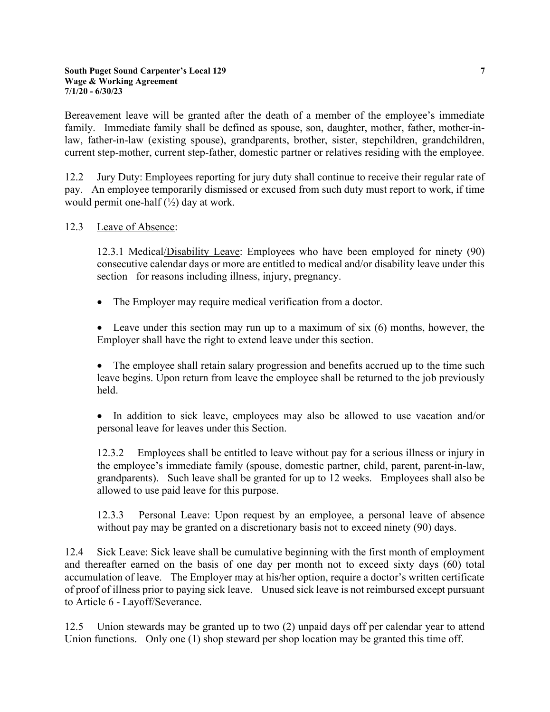Bereavement leave will be granted after the death of a member of the employee's immediate family. Immediate family shall be defined as spouse, son, daughter, mother, father, mother-inlaw, father-in-law (existing spouse), grandparents, brother, sister, stepchildren, grandchildren, current step-mother, current step-father, domestic partner or relatives residing with the employee.

 $12.2$ Jury Duty: Employees reporting for jury duty shall continue to receive their regular rate of pay. An employee temporarily dismissed or excused from such duty must report to work, if time would permit one-half  $(\frac{1}{2})$  day at work.

#### $12.3$ Leave of Absence:

12.3.1 Medical/Disability Leave: Employees who have been employed for ninety (90) consecutive calendar days or more are entitled to medical and/or disability leave under this section for reasons including illness, injury, pregnancy.

The Employer may require medical verification from a doctor.  $\bullet$ 

• Leave under this section may run up to a maximum of six  $(6)$  months, however, the Employer shall have the right to extend leave under this section.

• The employee shall retain salary progression and benefits accrued up to the time such leave begins. Upon return from leave the employee shall be returned to the job previously held.

• In addition to sick leave, employees may also be allowed to use vacation and/or personal leave for leaves under this Section.

Employees shall be entitled to leave without pay for a serious illness or injury in 12.3.2 the employee's immediate family (spouse, domestic partner, child, parent, parent-in-law, grandparents). Such leave shall be granted for up to 12 weeks. Employees shall also be allowed to use paid leave for this purpose.

 $12.3.3$ Personal Leave: Upon request by an employee, a personal leave of absence without pay may be granted on a discretionary basis not to exceed ninety (90) days.

12.4 Sick Leave: Sick leave shall be cumulative beginning with the first month of employment and thereafter earned on the basis of one day per month not to exceed sixty days (60) total accumulation of leave. The Employer may at his/her option, require a doctor's written certificate of proof of illness prior to paying sick leave. Unused sick leave is not reimbursed except pursuant to Article 6 - Layoff/Severance.

Union stewards may be granted up to two (2) unpaid days off per calendar year to attend  $12.5$ Union functions. Only one (1) shop steward per shop location may be granted this time off.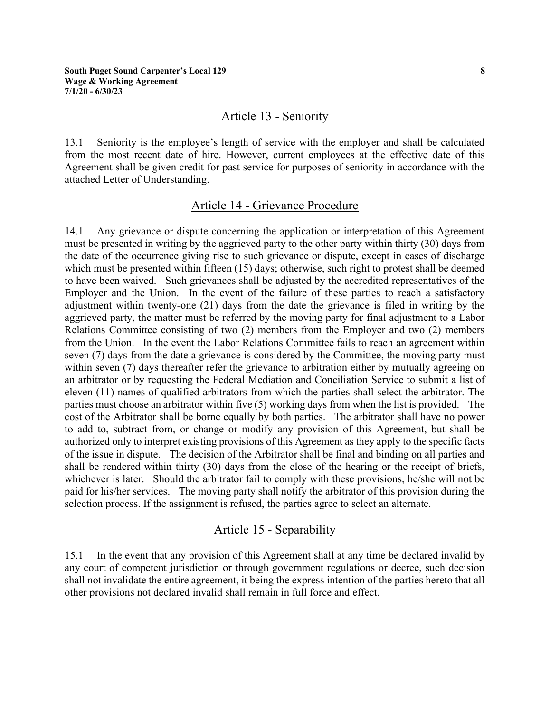#### Article 13 - Seniority

Seniority is the employee's length of service with the employer and shall be calculated  $13.1$ from the most recent date of hire. However, current employees at the effective date of this Agreement shall be given credit for past service for purposes of seniority in accordance with the attached Letter of Understanding.

#### Article 14 - Grievance Procedure

Any grievance or dispute concerning the application or interpretation of this Agreement  $14.1$ must be presented in writing by the aggrieved party to the other party within thirty (30) days from the date of the occurrence giving rise to such grievance or dispute, except in cases of discharge which must be presented within fifteen (15) days; otherwise, such right to protest shall be deemed to have been waived. Such grievances shall be adjusted by the accredited representatives of the Employer and the Union. In the event of the failure of these parties to reach a satisfactory adjustment within twenty-one (21) days from the date the grievance is filed in writing by the aggrieved party, the matter must be referred by the moving party for final adjustment to a Labor Relations Committee consisting of two (2) members from the Employer and two (2) members from the Union. In the event the Labor Relations Committee fails to reach an agreement within seven (7) days from the date a grievance is considered by the Committee, the moving party must within seven (7) days thereafter refer the grievance to arbitration either by mutually agreeing on an arbitrator or by requesting the Federal Mediation and Conciliation Service to submit a list of eleven (11) names of qualified arbitrators from which the parties shall select the arbitrator. The parties must choose an arbitrator within five (5) working days from when the list is provided. The cost of the Arbitrator shall be borne equally by both parties. The arbitrator shall have no power to add to, subtract from, or change or modify any provision of this Agreement, but shall be authorized only to interpret existing provisions of this Agreement as they apply to the specific facts of the issue in dispute. The decision of the Arbitrator shall be final and binding on all parties and shall be rendered within thirty (30) days from the close of the hearing or the receipt of briefs, whichever is later. Should the arbitrator fail to comply with these provisions, he/she will not be paid for his/her services. The moving party shall notify the arbitrator of this provision during the selection process. If the assignment is refused, the parties agree to select an alternate.

#### Article 15 - Separability

 $15.1$ In the event that any provision of this Agreement shall at any time be declared invalid by any court of competent jurisdiction or through government regulations or decree, such decision shall not invalidate the entire agreement, it being the express intention of the parties hereto that all other provisions not declared invalid shall remain in full force and effect.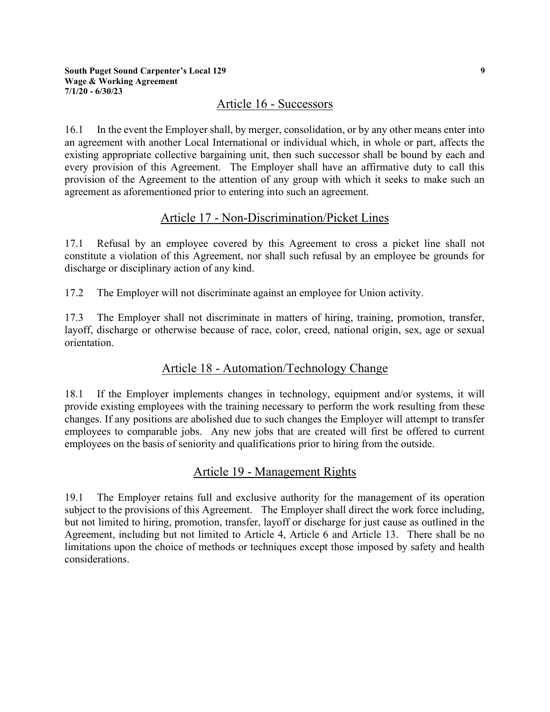#### Article 16 - Successors

 $16.1$ In the event the Employer shall, by merger, consolidation, or by any other means enter into an agreement with another Local International or individual which, in whole or part, affects the existing appropriate collective bargaining unit, then such successor shall be bound by each and every provision of this Agreement. The Employer shall have an affirmative duty to call this provision of the Agreement to the attention of any group with which it seeks to make such an agreement as aforementioned prior to entering into such an agreement.

## Article 17 - Non-Discrimination/Picket Lines

Refusal by an employee covered by this Agreement to cross a picket line shall not 17.1 constitute a violation of this Agreement, nor shall such refusal by an employee be grounds for discharge or disciplinary action of any kind.

17.2 The Employer will not discriminate against an employee for Union activity.

The Employer shall not discriminate in matters of hiring, training, promotion, transfer, 17.3 layoff, discharge or otherwise because of race, color, creed, national origin, sex, age or sexual orientation.

## Article 18 - Automation/Technology Change

If the Employer implements changes in technology, equipment and/or systems, it will 18.1 provide existing employees with the training necessary to perform the work resulting from these changes. If any positions are abolished due to such changes the Employer will attempt to transfer employees to comparable jobs. Any new jobs that are created will first be offered to current employees on the basis of seniority and qualifications prior to hiring from the outside.

## Article 19 - Management Rights

 $19.1$ The Employer retains full and exclusive authority for the management of its operation subject to the provisions of this Agreement. The Employer shall direct the work force including, but not limited to hiring, promotion, transfer, layoff or discharge for just cause as outlined in the Agreement, including but not limited to Article 4, Article 6 and Article 13. There shall be no limitations upon the choice of methods or techniques except those imposed by safety and health considerations.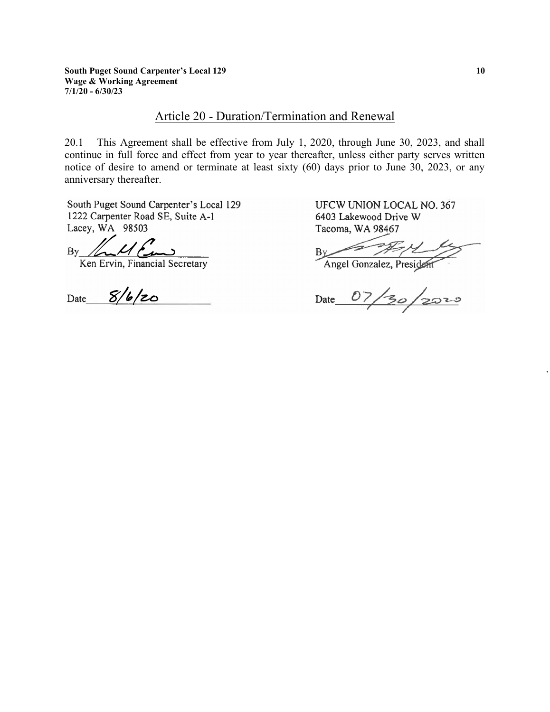# Article 20 - Duration/Termination and Renewal

This Agreement shall be effective from July 1, 2020, through June 30, 2023, and shall 20.1 continue in full force and effect from year to year thereafter, unless either party serves written notice of desire to amend or terminate at least sixty (60) days prior to June 30, 2023, or any anniversary thereafter.

South Puget Sound Carpenter's Local 129 1222 Carpenter Road SE, Suite A-1 Lacey, WA 98503

 $Bv$ 

Ken Ervin, Financial Secretary

Date  $8/6/20$ 

UFCW UNION LOCAL NO. 367 6403 Lakewood Drive W Tacoma, WA 98467

 $B_1$ 

Angel Gonzalez, President

Date 07/30/2020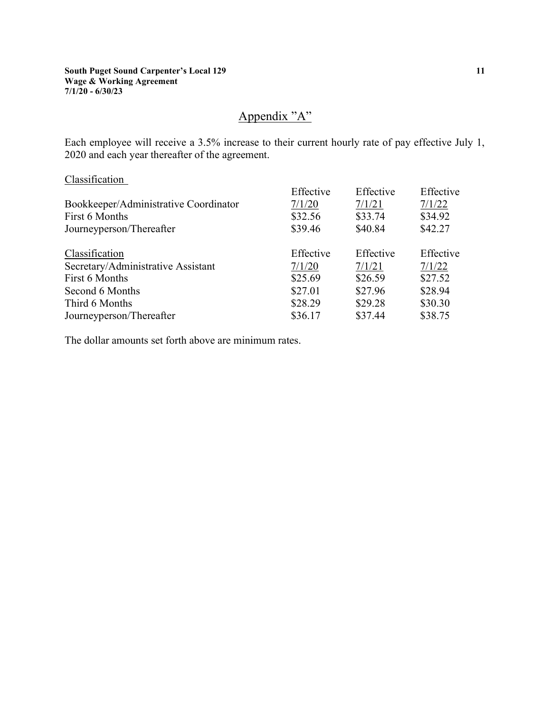## Appendix "A"

Each employee will receive a 3.5% increase to their current hourly rate of pay effective July 1, 2020 and each year thereafter of the agreement.

#### Classification

| Effective | Effective | Effective |
|-----------|-----------|-----------|
| 7/1/20    | 7/1/21    | 7/1/22    |
| \$32.56   | \$33.74   | \$34.92   |
| \$39.46   | \$40.84   | \$42.27   |
| Effective | Effective | Effective |
| 7/1/20    | 7/1/21    | 7/1/22    |
| \$25.69   | \$26.59   | \$27.52   |
| \$27.01   | \$27.96   | \$28.94   |
| \$28.29   | \$29.28   | \$30.30   |
| \$36.17   | \$37.44   | \$38.75   |
|           |           |           |

The dollar amounts set forth above are minimum rates.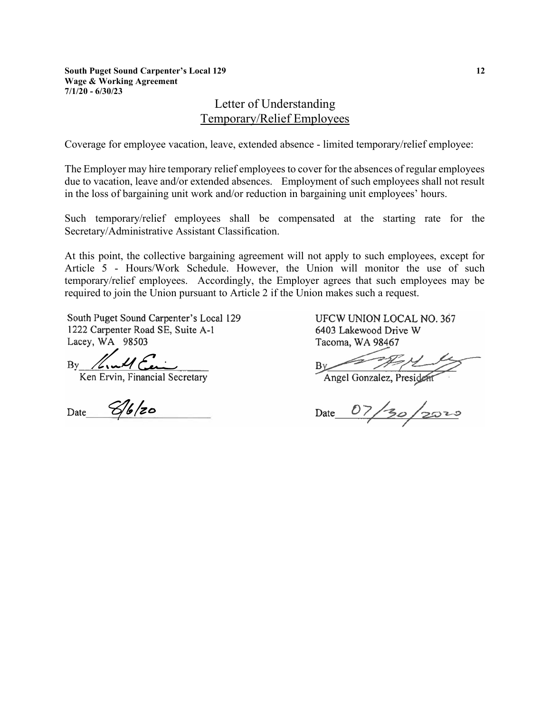**South Puget Sound Carpenter's Local 129 Wage & Working Agreement**  $7/1/20 - 6/30/23$ 

## Letter of Understanding Temporary/Relief Employees

Coverage for employee vacation, leave, extended absence - limited temporary/relief employee:

The Employer may hire temporary relief employees to cover for the absences of regular employees due to vacation, leave and/or extended absences. Employment of such employees shall not result in the loss of bargaining unit work and/or reduction in bargaining unit employees' hours.

Such temporary/relief employees shall be compensated at the starting rate for the Secretary/Administrative Assistant Classification.

At this point, the collective bargaining agreement will not apply to such employees, except for Article 5 - Hours/Work Schedule. However, the Union will monitor the use of such temporary/relief employees. Accordingly, the Employer agrees that such employees may be required to join the Union pursuant to Article 2 if the Union makes such a request.

South Puget Sound Carpenter's Local 129 1222 Carpenter Road SE, Suite A-1 Lacey, WA 98503

 $Bv$ 

Ken Ervin, Financial Secretary

Date  $\mathscr{G}$ 6/20

**UFCW UNION LOCAL NO. 367** 6403 Lakewood Drive W Tacoma, WA 98467

Angel Gonzalez, President

Date  $07/30/2010$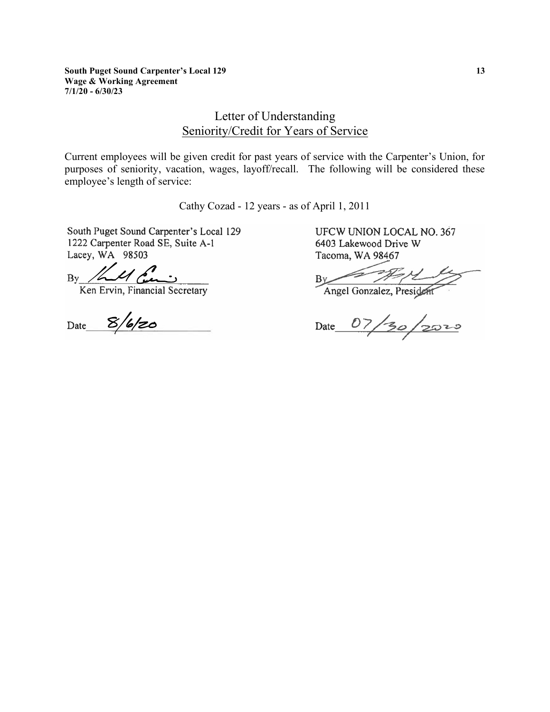## Letter of Understanding Seniority/Credit for Years of Service

Current employees will be given credit for past years of service with the Carpenter's Union, for purposes of seniority, vacation, wages, layoff/recall. The following will be considered these employee's length of service:

Cathy Cozad - 12 years - as of April 1, 2011

South Puget Sound Carpenter's Local 129 1222 Carpenter Road SE, Suite A-1 Lacey, WA 98503

By 11 Com

Date  $8/6/z$ 

UFCW UNION LOCAL NO. 367 6403 Lakewood Drive W Tacoma, WA 98467

Angel Gonzalez, President  $Bv$ 

Date  $07/30/2020$